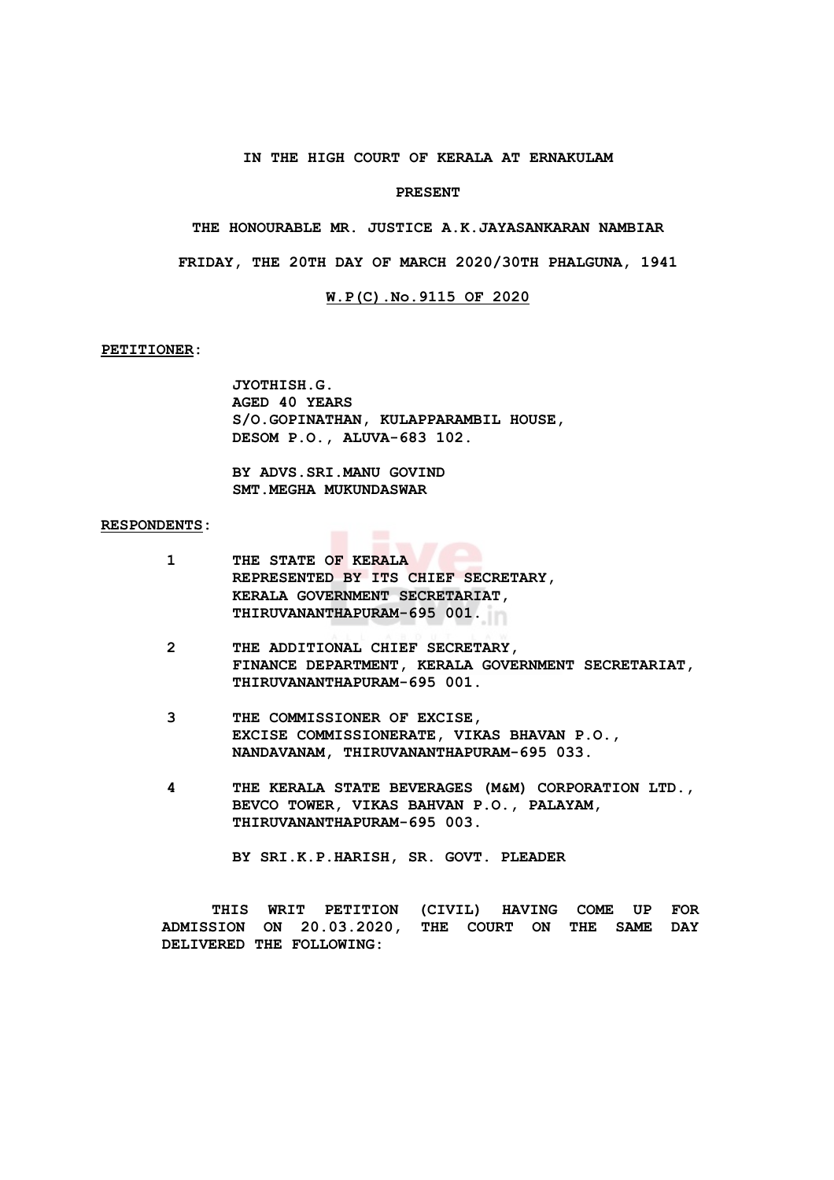## **IN THE HIGH COURT OF KERALA AT ERNAKULAM**

#### **PRESENT**

**THE HONOURABLE MR. JUSTICE A.K.JAYASANKARAN NAMBIAR**

**FRIDAY, THE 20TH DAY OF MARCH 2020/30TH PHALGUNA, 1941**

# **W.P(C).No.9115 OF 2020**

# **PETITIONER:**

**JYOTHISH.G. AGED 40 YEARS S/O.GOPINATHAN, KULAPPARAMBIL HOUSE, DESOM P.O., ALUVA-683 102.**

**BY ADVS.SRI.MANU GOVIND SMT.MEGHA MUKUNDASWAR**

### **RESPONDENTS:**

| 1 | THE STATE OF KERALA<br>REPRESENTED BY ITS CHIEF SECRETARY,<br>KERALA GOVERNMENT SECRETARIAT,<br>THIRUVANANTHAPURAM-695 001.   |
|---|-------------------------------------------------------------------------------------------------------------------------------|
| 2 | THE ADDITIONAL CHIEF SECRETARY,<br>FINANCE DEPARTMENT, KERALA GOVERNMENT SECRETARIAT,<br>THIRUVANANTHAPURAM-695 001.          |
| 3 | THE COMMISSIONER OF EXCISE,<br>EXCISE COMMISSIONERATE, VIKAS BHAVAN P.O.,<br>NANDAVANAM, THIRUVANANTHAPURAM-695 033.          |
| 4 | THE KERALA STATE BEVERAGES (M&M) CORPORATION LTD.,<br>BEVCO TOWER, VIKAS BAHVAN P.O., PALAYAM,<br>THIRUVANANTHAPURAM-695 003. |
|   | BY SRI.K.P.HARISH, SR. GOVT. PLEADER                                                                                          |

**THIS WRIT PETITION (CIVIL) HAVING COME UP FOR ADMISSION ON 20.03.2020, THE COURT ON THE SAME DAY DELIVERED THE FOLLOWING:**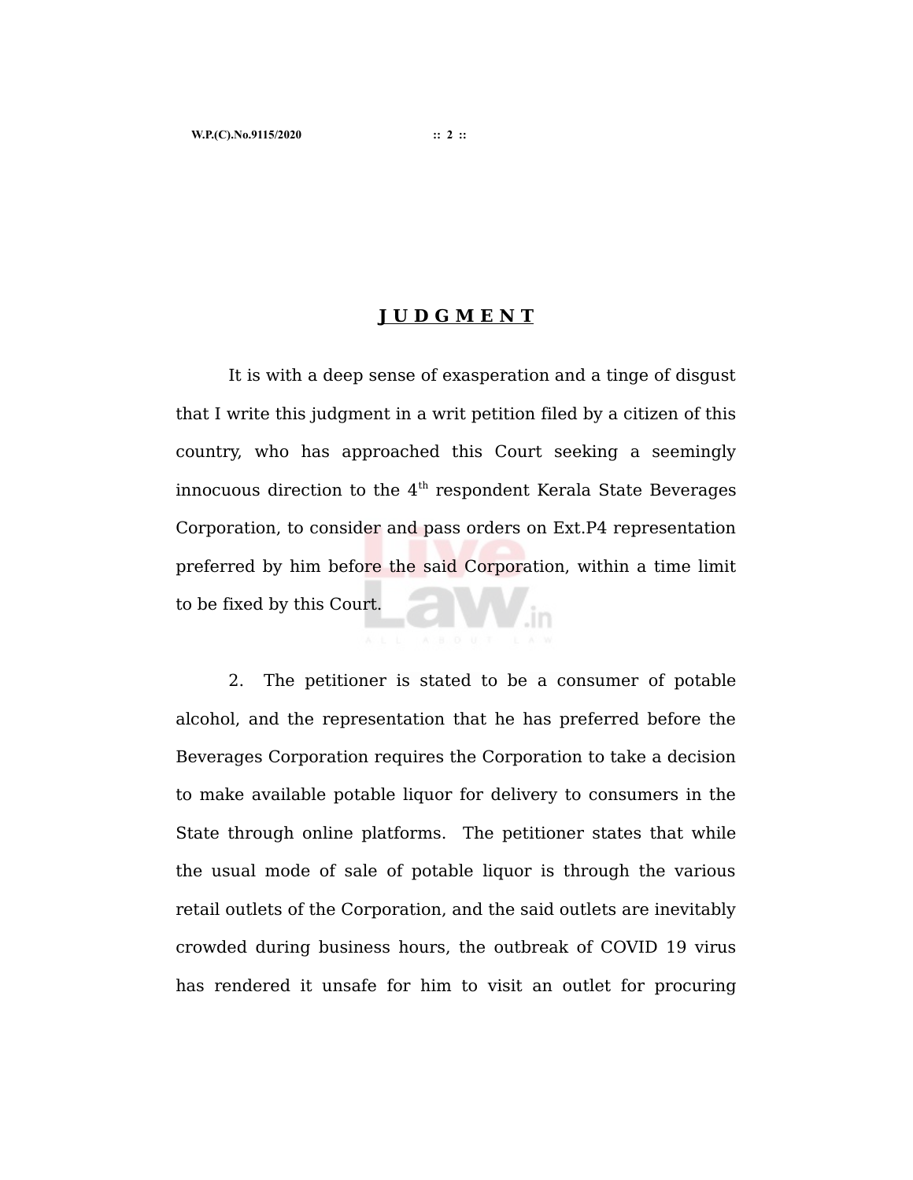# **J U D G M E N T**

It is with a deep sense of exasperation and a tinge of disgust that I write this judgment in a writ petition filed by a citizen of this country, who has approached this Court seeking a seemingly innocuous direction to the 4th respondent Kerala State Beverages Corporation, to consider and pass orders on Ext.P4 representation preferred by him before the said Corporation, within a time limit to be fixed by this Court.

2. The petitioner is stated to be a consumer of potable alcohol, and the representation that he has preferred before the Beverages Corporation requires the Corporation to take a decision to make available potable liquor for delivery to consumers in the State through online platforms. The petitioner states that while the usual mode of sale of potable liquor is through the various retail outlets of the Corporation, and the said outlets are inevitably crowded during business hours, the outbreak of COVID 19 virus has rendered it unsafe for him to visit an outlet for procuring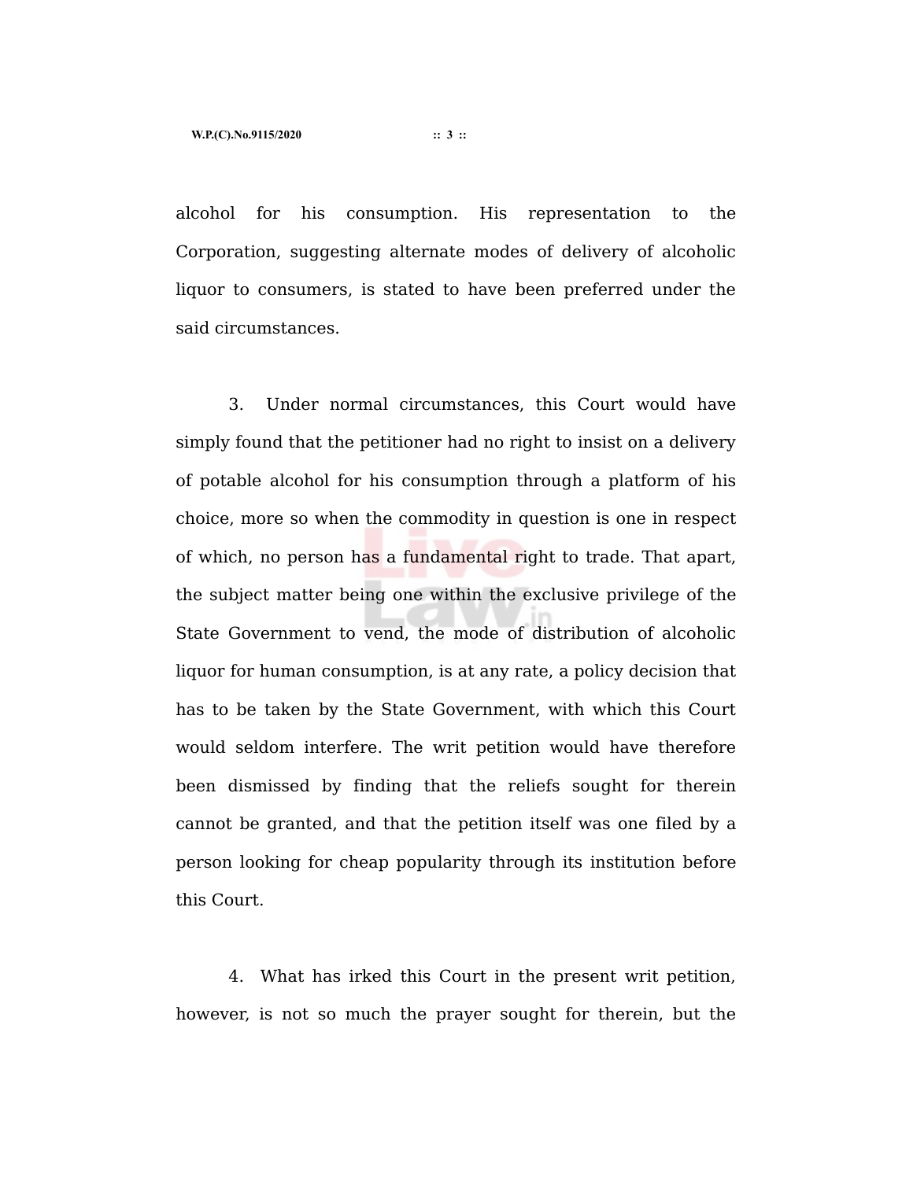alcohol for his consumption. His representation to the Corporation, suggesting alternate modes of delivery of alcoholic liquor to consumers, is stated to have been preferred under the said circumstances.

3. Under normal circumstances, this Court would have simply found that the petitioner had no right to insist on a delivery of potable alcohol for his consumption through a platform of his choice, more so when the commodity in question is one in respect of which, no person has a fundamental right to trade. That apart, the subject matter being one within the exclusive privilege of the State Government to vend, the mode of distribution of alcoholic liquor for human consumption, is at any rate, a policy decision that has to be taken by the State Government, with which this Court would seldom interfere. The writ petition would have therefore been dismissed by finding that the reliefs sought for therein cannot be granted, and that the petition itself was one filed by a person looking for cheap popularity through its institution before this Court.

4. What has irked this Court in the present writ petition, however, is not so much the prayer sought for therein, but the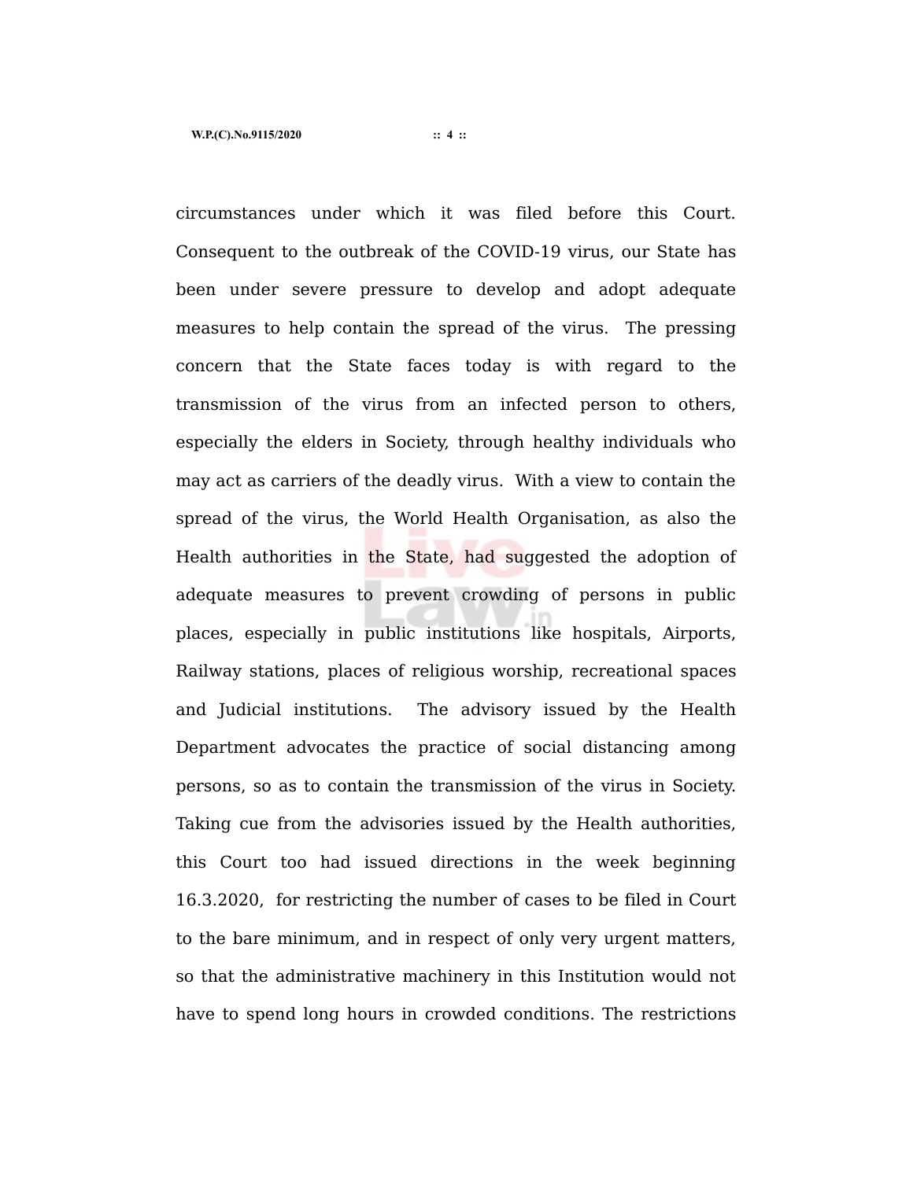circumstances under which it was filed before this Court. Consequent to the outbreak of the COVID-19 virus, our State has been under severe pressure to develop and adopt adequate measures to help contain the spread of the virus. The pressing concern that the State faces today is with regard to the transmission of the virus from an infected person to others, especially the elders in Society, through healthy individuals who may act as carriers of the deadly virus. With a view to contain the spread of the virus, the World Health Organisation, as also the Health authorities in the State, had suggested the adoption of adequate measures to prevent crowding of persons in public places, especially in public institutions like hospitals, Airports, Railway stations, places of religious worship, recreational spaces and Judicial institutions. The advisory issued by the Health Department advocates the practice of social distancing among persons, so as to contain the transmission of the virus in Society. Taking cue from the advisories issued by the Health authorities, this Court too had issued directions in the week beginning 16.3.2020, for restricting the number of cases to be filed in Court to the bare minimum, and in respect of only very urgent matters, so that the administrative machinery in this Institution would not have to spend long hours in crowded conditions. The restrictions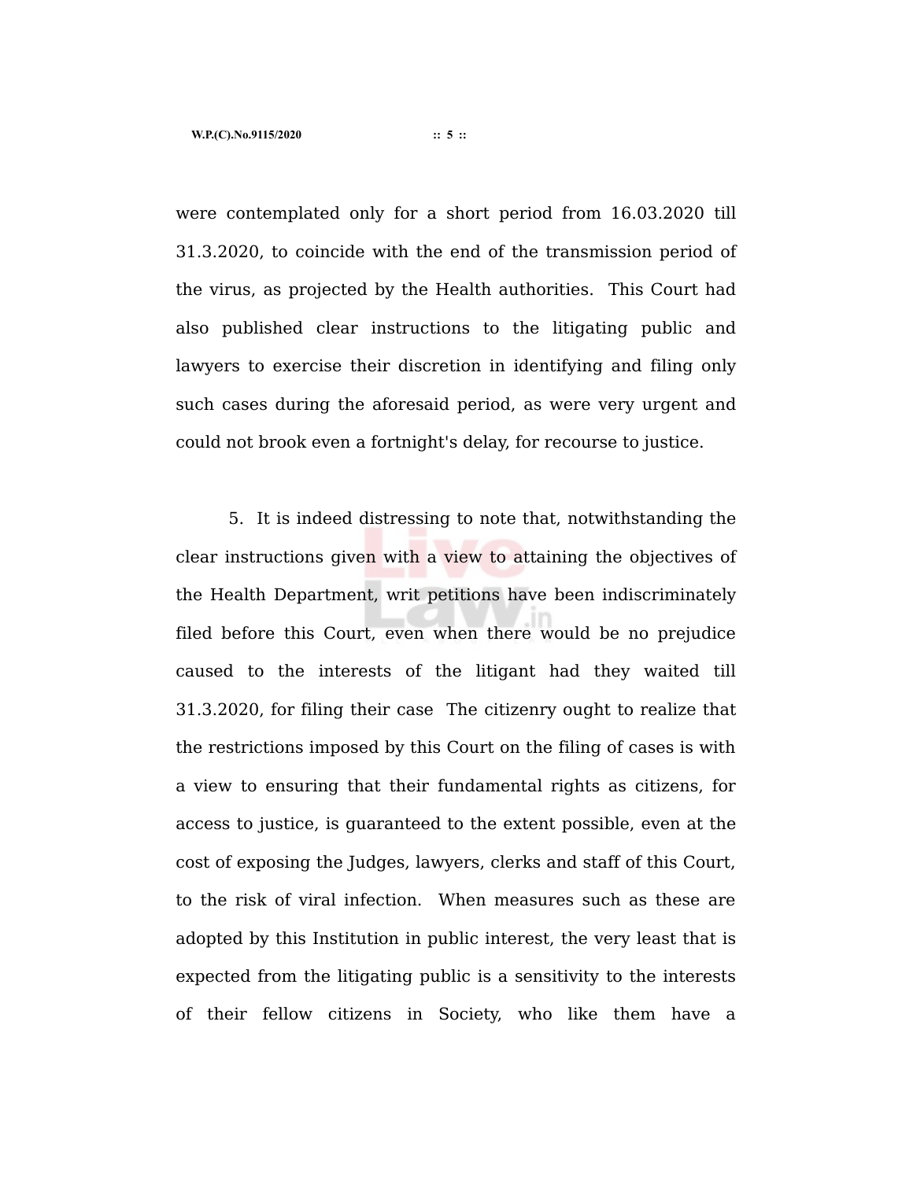were contemplated only for a short period from 16.03.2020 till 31.3.2020, to coincide with the end of the transmission period of the virus, as projected by the Health authorities. This Court had also published clear instructions to the litigating public and lawyers to exercise their discretion in identifying and filing only such cases during the aforesaid period, as were very urgent and could not brook even a fortnight's delay, for recourse to justice.

5. It is indeed distressing to note that, notwithstanding the clear instructions given with a view to attaining the objectives of the Health Department, writ petitions have been indiscriminately filed before this Court, even when there would be no prejudice caused to the interests of the litigant had they waited till 31.3.2020, for filing their case The citizenry ought to realize that the restrictions imposed by this Court on the filing of cases is with a view to ensuring that their fundamental rights as citizens, for access to justice, is guaranteed to the extent possible, even at the cost of exposing the Judges, lawyers, clerks and staff of this Court, to the risk of viral infection. When measures such as these are adopted by this Institution in public interest, the very least that is expected from the litigating public is a sensitivity to the interests of their fellow citizens in Society, who like them have a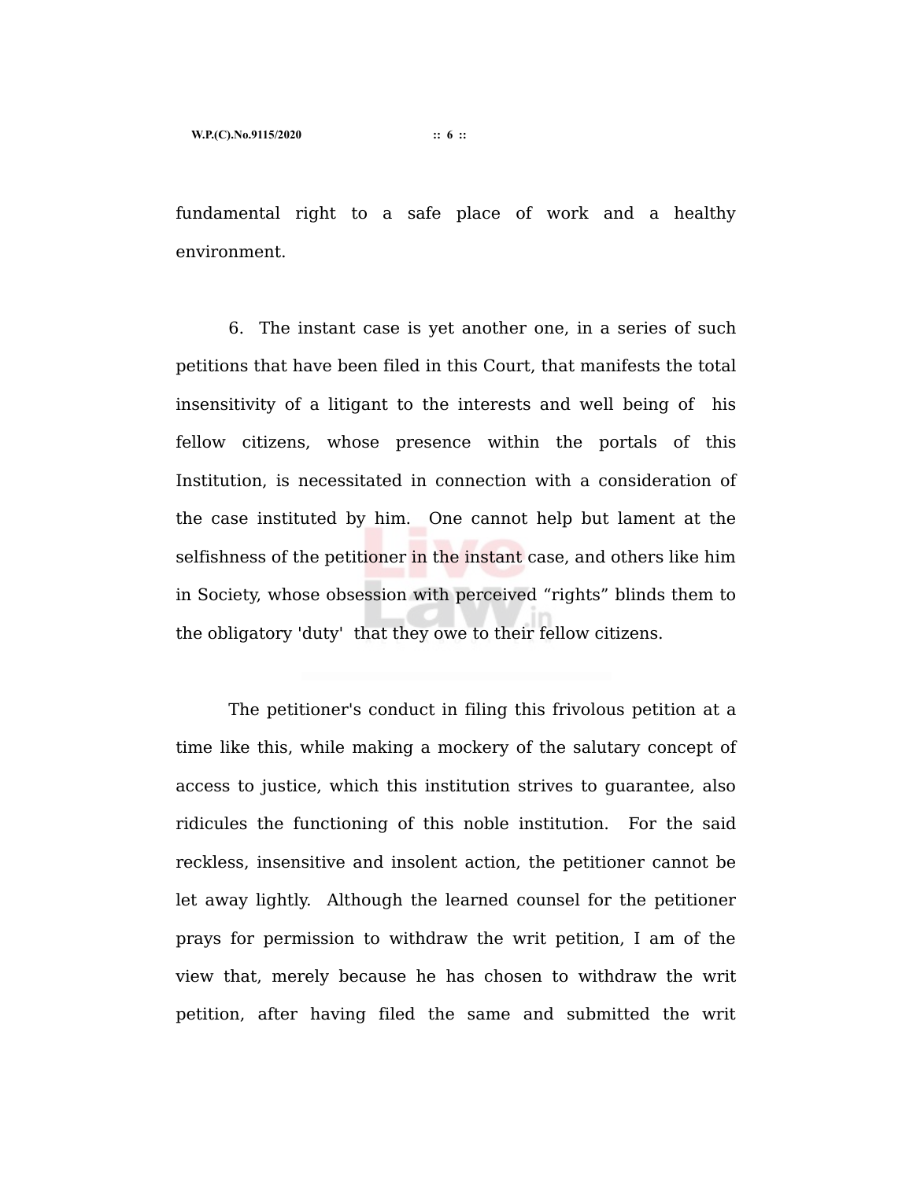fundamental right to a safe place of work and a healthy environment.

6. The instant case is yet another one, in a series of such petitions that have been filed in this Court, that manifests the total insensitivity of a litigant to the interests and well being of his fellow citizens, whose presence within the portals of this Institution, is necessitated in connection with a consideration of the case instituted by him. One cannot help but lament at the selfishness of the petitioner in the instant case, and others like him in Society, whose obsession with perceived "rights" blinds them to the obligatory 'duty' that they owe to their fellow citizens.

The petitioner's conduct in filing this frivolous petition at a time like this, while making a mockery of the salutary concept of access to justice, which this institution strives to guarantee, also ridicules the functioning of this noble institution. For the said reckless, insensitive and insolent action, the petitioner cannot be let away lightly. Although the learned counsel for the petitioner prays for permission to withdraw the writ petition, I am of the view that, merely because he has chosen to withdraw the writ petition, after having filed the same and submitted the writ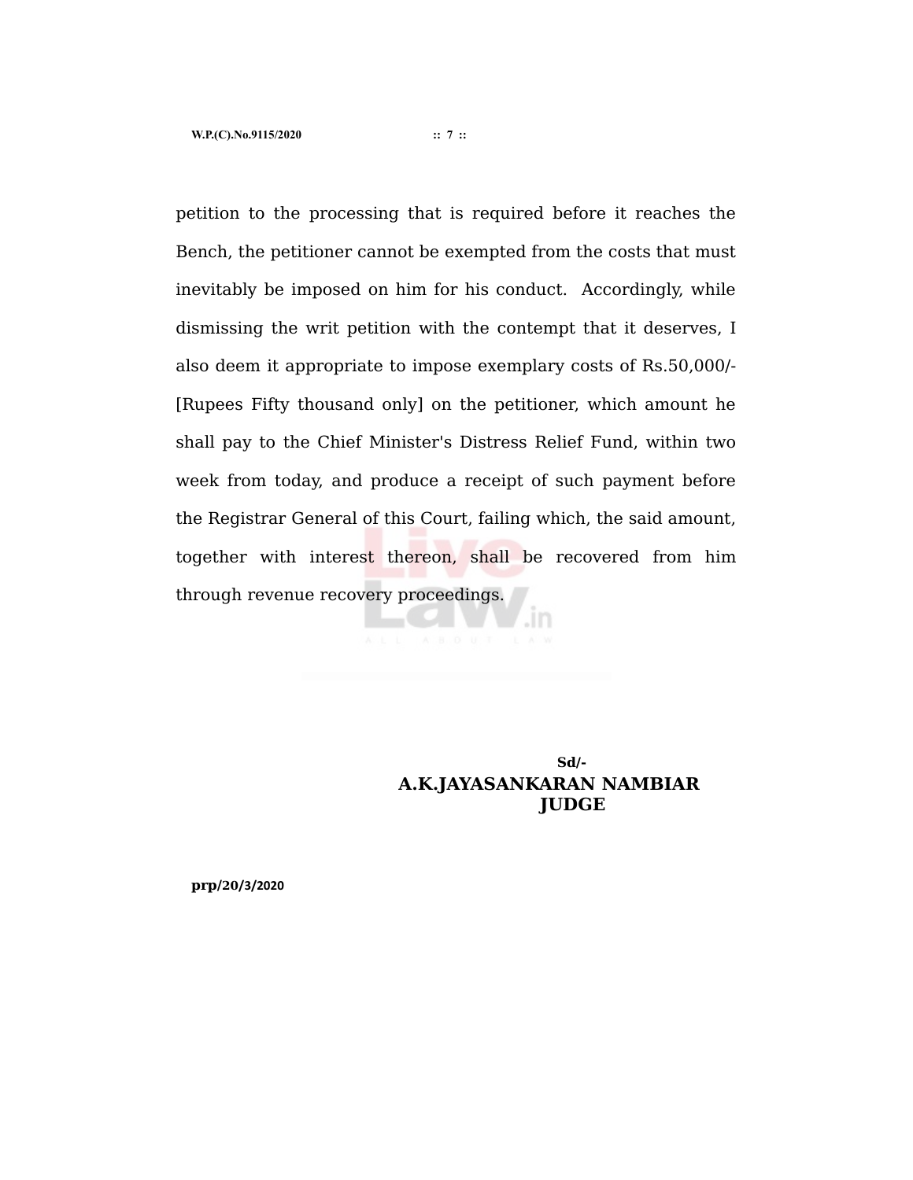petition to the processing that is required before it reaches the Bench, the petitioner cannot be exempted from the costs that must inevitably be imposed on him for his conduct. Accordingly, while dismissing the writ petition with the contempt that it deserves, I also deem it appropriate to impose exemplary costs of Rs.50,000/- [Rupees Fifty thousand only] on the petitioner, which amount he shall pay to the Chief Minister's Distress Relief Fund, within two week from today, and produce a receipt of such payment before the Registrar General of this Court, failing which, the said amount, together with interest thereon, shall be recovered from him through revenue recovery proceedings.

# **Sd/- A.K.JAYASANKARAN NAMBIAR JUDGE**

**prp/20/3/2020**